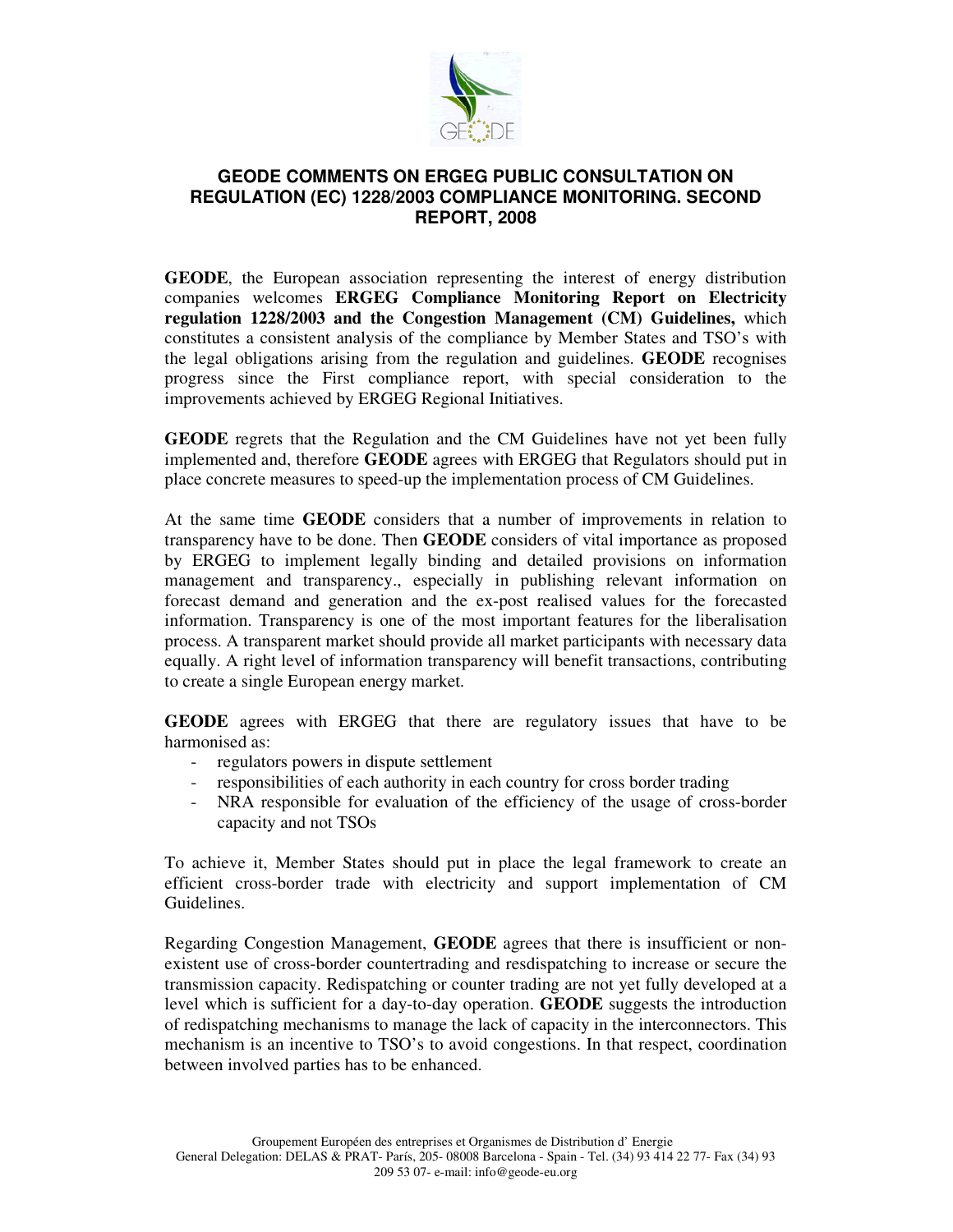

## **GEODE COMMENTS ON ERGEG PUBLIC CONSULTATION ON REGULATION (EC) 1228/2003 COMPLIANCE MONITORING. SECOND REPORT, 2008**

**GEODE**, the European association representing the interest of energy distribution companies welcomes **ERGEG Compliance Monitoring Report on Electricity regulation 1228/2003 and the Congestion Management (CM) Guidelines,** which constitutes a consistent analysis of the compliance by Member States and TSO's with the legal obligations arising from the regulation and guidelines. **GEODE** recognises progress since the First compliance report, with special consideration to the improvements achieved by ERGEG Regional Initiatives.

**GEODE** regrets that the Regulation and the CM Guidelines have not yet been fully implemented and, therefore **GEODE** agrees with ERGEG that Regulators should put in place concrete measures to speed-up the implementation process of CM Guidelines.

At the same time **GEODE** considers that a number of improvements in relation to transparency have to be done. Then **GEODE** considers of vital importance as proposed by ERGEG to implement legally binding and detailed provisions on information management and transparency., especially in publishing relevant information on forecast demand and generation and the ex-post realised values for the forecasted information. Transparency is one of the most important features for the liberalisation process. A transparent market should provide all market participants with necessary data equally. A right level of information transparency will benefit transactions, contributing to create a single European energy market.

**GEODE** agrees with ERGEG that there are regulatory issues that have to be harmonised as:

- regulators powers in dispute settlement
- responsibilities of each authority in each country for cross border trading
- NRA responsible for evaluation of the efficiency of the usage of cross-border capacity and not TSOs

To achieve it, Member States should put in place the legal framework to create an efficient cross-border trade with electricity and support implementation of CM Guidelines.

Regarding Congestion Management, **GEODE** agrees that there is insufficient or nonexistent use of cross-border countertrading and resdispatching to increase or secure the transmission capacity. Redispatching or counter trading are not yet fully developed at a level which is sufficient for a day-to-day operation. **GEODE** suggests the introduction of redispatching mechanisms to manage the lack of capacity in the interconnectors. This mechanism is an incentive to TSO's to avoid congestions. In that respect, coordination between involved parties has to be enhanced.